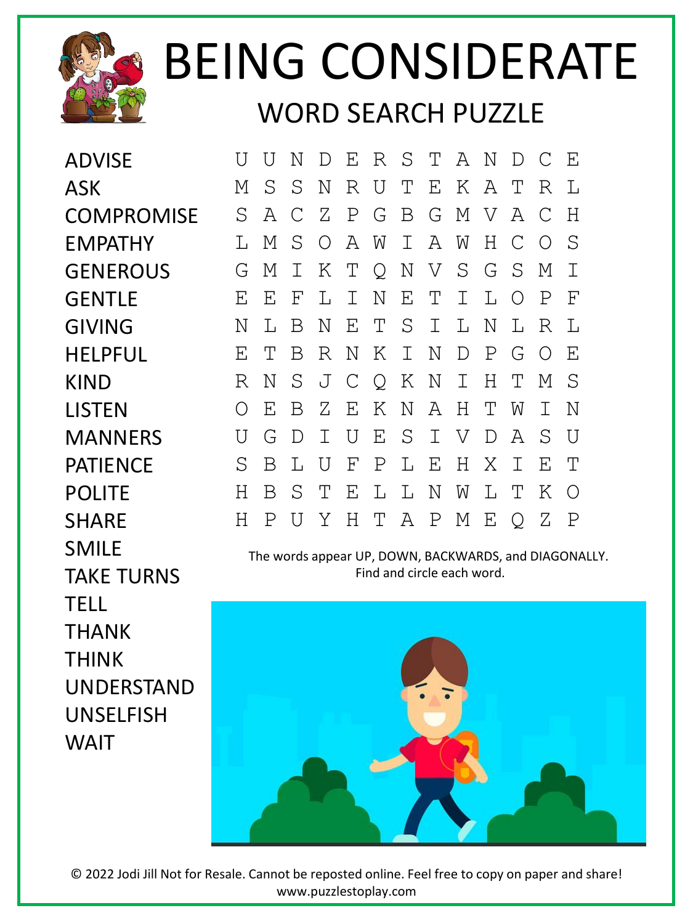

## BEING CONSIDERATE WORD SEARCH PUZZLE

ADVISE ASK **COMPROMISE** EMPATHY GENEROUS **GENTLE** GIVING HELPFUL KIND LISTEN **MANNERS** PATIENCE POLITE SHARE SMILE TAKE TURNS TELL THANK THINK UNDERSTAND UNSELFISH WAIT

U U N D E R S T A N D C E M S S N R U T E K A T R L S A C Z P G B G M V A C H L M S O A W I A W H C O S G M I K T Q N V S G S M I E E F L I N E T I L O P F N L B N E T S I L N L R L E T B R N K I N D P G O E R N S J C Q K N I H T M S O E B Z E K N A H T W I N U G D I U E S I V D A S U S B L U F P L E H X I E T H B S T E L L N W L T K O H P U Y H T A P M E Q Z P

The words appear UP, DOWN, BACKWARDS, and DIAGONALLY. Find and circle each word.



© 2022 Jodi Jill Not for Resale. Cannot be reposted online. Feel free to copy on paper and share! www.puzzlestoplay.com